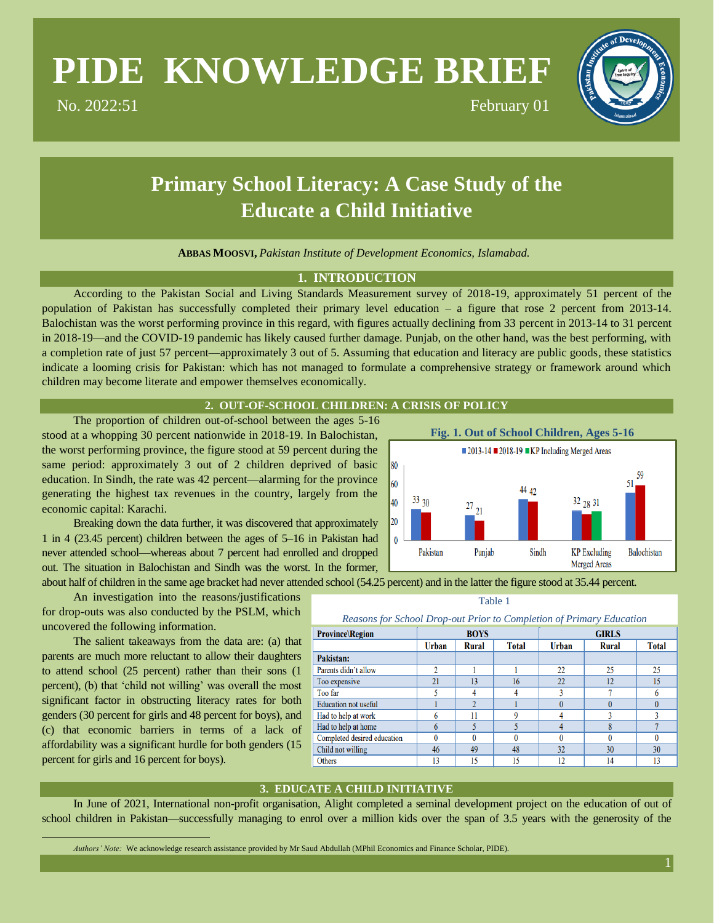# **PIDE KNOWLEDGE BRIEF**

No. 2022:51 February 01

# **Primary School Literacy: A Case Study of the Educate a Child Initiative**

**ABBAS MOOSVI,** *Pakistan Institute of Development Economics, Islamabad.* \*

## **1. INTRODUCTION**

According to the Pakistan Social and Living Standards Measurement survey of 2018-19, approximately 51 percent of the population of Pakistan has successfully completed their primary level education – a figure that rose 2 percent from 2013-14. Balochistan was the worst performing province in this regard, with figures actually declining from 33 percent in 2013-14 to 31 percent in 2018-19—and the COVID-19 pandemic has likely caused further damage. Punjab, on the other hand, was the best performing, with a completion rate of just 57 percent—approximately 3 out of 5. Assuming that education and literacy are public goods, these statistics indicate a looming crisis for Pakistan: which has not managed to formulate a comprehensive strategy or framework around which children may become literate and empower themselves economically.

### **2. OUT-OF-SCHOOL CHILDREN: A CRISIS OF POLICY**

The proportion of children out-of-school between the ages 5-16 stood at a whopping 30 percent nationwide in 2018-19. In Balochistan, the worst performing province, the figure stood at 59 percent during the same period: approximately 3 out of 2 children deprived of basic education. In Sindh, the rate was 42 percent—alarming for the province generating the highest tax revenues in the country, largely from the economic capital: Karachi.

Breaking down the data further, it was discovered that approximately 1 in 4 (23.45 percent) children between the ages of 5–16 in Pakistan had never attended school—whereas about 7 percent had enrolled and dropped out. The situation in Balochistan and Sindh was the worst. In the former, about half of children in the same age bracket had never attended school (54.25 percent) and in the latter the figure stood at 35.44 percent.

An investigation into the reasons/justifications for drop-outs was also conducted by the PSLM, which uncovered the following information.

The salient takeaways from the data are: (a) that parents are much more reluctant to allow their daughters to attend school (25 percent) rather than their sons (1 percent), (b) that 'child not willing' was overall the most significant factor in obstructing literacy rates for both genders (30 percent for girls and 48 percent for boys), and (c) that economic barriers in terms of a lack of affordability was a significant hurdle for both genders (15 percent for girls and 16 percent for boys).

 $\overline{a}$ 



Table 1

| Reasons for School Drop-out Prior to Completion of Primary Education |  |  |  |
|----------------------------------------------------------------------|--|--|--|
|                                                                      |  |  |  |

| <b>Province</b> Region      | <b>BOYS</b>  |       |              | <b>GIRLS</b> |              |              |
|-----------------------------|--------------|-------|--------------|--------------|--------------|--------------|
|                             | <b>Urban</b> | Rural | <b>Total</b> | <b>Urban</b> | <b>Rural</b> | <b>Total</b> |
| Pakistan:                   |              |       |              |              |              |              |
| Parents didn't allow        | ŋ            |       |              | 22           | 25           | 25           |
| Too expensive               | 21           | 13    | 16           | 22           | 12           | 15           |
| Too far                     |              |       |              |              |              | 6            |
| <b>Education not useful</b> |              |       |              |              |              |              |
| Had to help at work         |              | 11    | Q            |              |              |              |
| Had to help at home         |              |       |              |              |              |              |
| Completed desired education |              |       | 0            |              |              | $\Omega$     |
| Child not willing           | 46           | 49    | 48           | 32           | 30           | 30           |
| Others                      | 13           | 15    | 15           | 12           | 14           | 13           |

# **3. EDUCATE A CHILD INITIATIVE**

In June of 2021, International non-profit organisation, Alight completed a seminal development project on the education of out of school children in Pakistan—successfully managing to enrol over a million kids over the span of 3.5 years with the generosity of the

*Authors' Note:* We acknowledge research assistance provided by Mr Saud Abdullah (MPhil Economics and Finance Scholar, PIDE).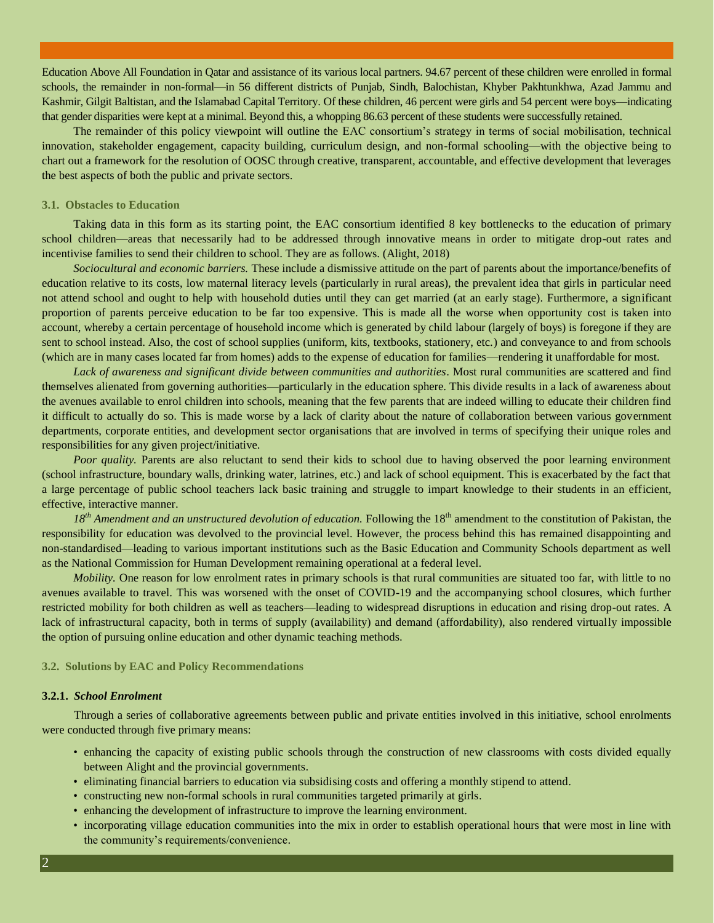Education Above All Foundation in Qatar and assistance of its various local partners. 94.67 percent of these children were enrolled in formal schools, the remainder in non-formal—in 56 different districts of Punjab, Sindh, Balochistan, Khyber Pakhtunkhwa, Azad Jammu and Kashmir, Gilgit Baltistan, and the Islamabad Capital Territory. Of these children, 46 percent were girls and 54 percent were boys—indicating that gender disparities were kept at a minimal. Beyond this, a whopping 86.63 percent of these students were successfully retained.

The remainder of this policy viewpoint will outline the EAC consortium's strategy in terms of social mobilisation, technical innovation, stakeholder engagement, capacity building, curriculum design, and non-formal schooling—with the objective being to chart out a framework for the resolution of OOSC through creative, transparent, accountable, and effective development that leverages the best aspects of both the public and private sectors.

#### **3.1. Obstacles to Education**

Taking data in this form as its starting point, the EAC consortium identified 8 key bottlenecks to the education of primary school children—areas that necessarily had to be addressed through innovative means in order to mitigate drop-out rates and incentivise families to send their children to school. They are as follows. (Alight, 2018)

*Sociocultural and economic barriers.* These include a dismissive attitude on the part of parents about the importance/benefits of education relative to its costs, low maternal literacy levels (particularly in rural areas), the prevalent idea that girls in particular need not attend school and ought to help with household duties until they can get married (at an early stage). Furthermore, a significant proportion of parents perceive education to be far too expensive. This is made all the worse when opportunity cost is taken into account, whereby a certain percentage of household income which is generated by child labour (largely of boys) is foregone if they are sent to school instead. Also, the cost of school supplies (uniform, kits, textbooks, stationery, etc.) and conveyance to and from schools (which are in many cases located far from homes) adds to the expense of education for families—rendering it unaffordable for most.

*Lack of awareness and significant divide between communities and authorities*. Most rural communities are scattered and find themselves alienated from governing authorities—particularly in the education sphere. This divide results in a lack of awareness about the avenues available to enrol children into schools, meaning that the few parents that are indeed willing to educate their children find it difficult to actually do so. This is made worse by a lack of clarity about the nature of collaboration between various government departments, corporate entities, and development sector organisations that are involved in terms of specifying their unique roles and responsibilities for any given project/initiative.

*Poor quality.* Parents are also reluctant to send their kids to school due to having observed the poor learning environment (school infrastructure, boundary walls, drinking water, latrines, etc.) and lack of school equipment. This is exacerbated by the fact that a large percentage of public school teachers lack basic training and struggle to impart knowledge to their students in an efficient, effective, interactive manner.

18<sup>th</sup> Amendment and an unstructured devolution of education. Following the 18<sup>th</sup> amendment to the constitution of Pakistan, the responsibility for education was devolved to the provincial level. However, the process behind this has remained disappointing and non-standardised—leading to various important institutions such as the Basic Education and Community Schools department as well as the National Commission for Human Development remaining operational at a federal level.

*Mobility*. One reason for low enrolment rates in primary schools is that rural communities are situated too far, with little to no avenues available to travel. This was worsened with the onset of COVID-19 and the accompanying school closures, which further restricted mobility for both children as well as teachers—leading to widespread disruptions in education and rising drop-out rates. A lack of infrastructural capacity, both in terms of supply (availability) and demand (affordability), also rendered virtually impossible the option of pursuing online education and other dynamic teaching methods.

#### **3.2. Solutions by EAC and Policy Recommendations**

#### **3.2.1.** *School Enrolment*

Through a series of collaborative agreements between public and private entities involved in this initiative, school enrolments were conducted through five primary means:

- enhancing the capacity of existing public schools through the construction of new classrooms with costs divided equally between Alight and the provincial governments.
- eliminating financial barriers to education via subsidising costs and offering a monthly stipend to attend.
- constructing new non-formal schools in rural communities targeted primarily at girls.
- enhancing the development of infrastructure to improve the learning environment.
- incorporating village education communities into the mix in order to establish operational hours that were most in line with the community's requirements/convenience.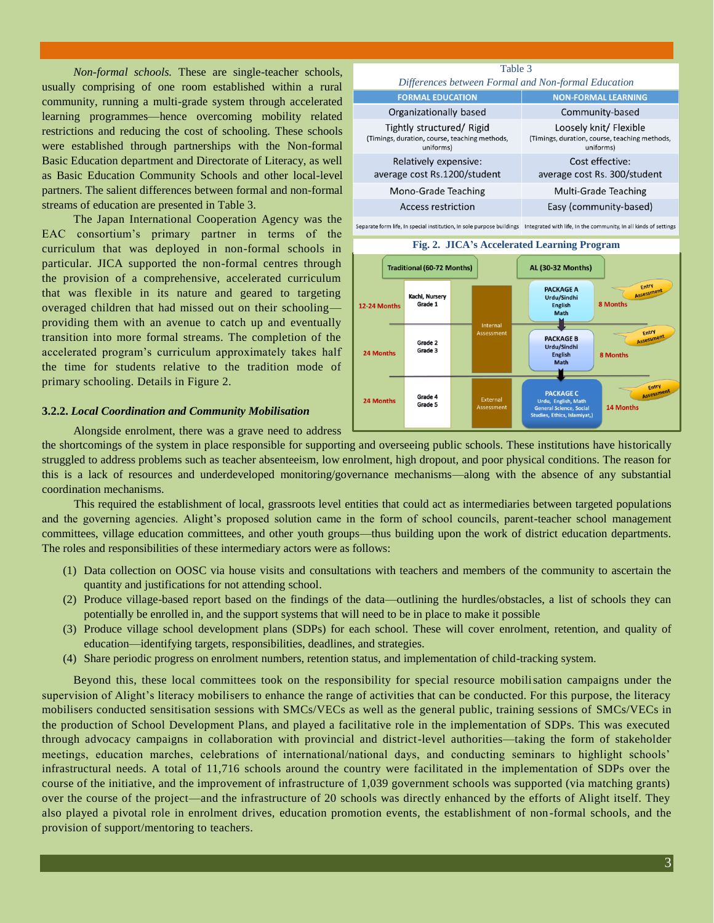*Non-formal schools.* These are single-teacher schools, usually comprising of one room established within a rural community, running a multi-grade system through accelerated learning programmes—hence overcoming mobility related restrictions and reducing the cost of schooling. These schools were established through partnerships with the Non-formal Basic Education department and Directorate of Literacy, as well as Basic Education Community Schools and other local-level partners. The salient differences between formal and non-formal streams of education are presented in Table 3.

The Japan International Cooperation Agency was the EAC consortium's primary partner in terms of the curriculum that was deployed in non-formal schools in particular. JICA supported the non-formal centres through the provision of a comprehensive, accelerated curriculum that was flexible in its nature and geared to targeting overaged children that had missed out on their schooling providing them with an avenue to catch up and eventually transition into more formal streams. The completion of the accelerated program's curriculum approximately takes half the time for students relative to the tradition mode of primary schooling. Details in Figure 2.

#### **3.2.2.** *Local Coordination and Community Mobilisation*

Table 3 *Differences between Formal and Non-formal Education***FORMAL EDUCATION NON-FORMAL LEARNING** Organizationally based Community-based Loosely knit/ Flexible Tightly structured/ Rigid (Timings, duration, course, teaching methods, (Timings, duration, course, teaching methods, uniforms) uniforms) Relatively expensive: Cost effective: average cost Rs.1200/student average cost Rs. 300/student Mono-Grade Teaching Multi-Grade Teaching **Access restriction** Easy (community-based)

Separate form life, In special institution, In sole purpose buildings Integrated with life, In the community, In all kinds of settings



Alongside enrolment, there was a grave need to address

the shortcomings of the system in place responsible for supporting and overseeing public schools. These institutions have historically struggled to address problems such as teacher absenteeism, low enrolment, high dropout, and poor physical conditions. The reason for this is a lack of resources and underdeveloped monitoring/governance mechanisms—along with the absence of any substantial coordination mechanisms.

This required the establishment of local, grassroots level entities that could act as intermediaries between targeted populations and the governing agencies. Alight's proposed solution came in the form of school councils, parent-teacher school management committees, village education committees, and other youth groups—thus building upon the work of district education departments. The roles and responsibilities of these intermediary actors were as follows:

- (1) Data collection on OOSC via house visits and consultations with teachers and members of the community to ascertain the quantity and justifications for not attending school.
- (2) Produce village-based report based on the findings of the data—outlining the hurdles/obstacles, a list of schools they can potentially be enrolled in, and the support systems that will need to be in place to make it possible
- (3) Produce village school development plans (SDPs) for each school. These will cover enrolment, retention, and quality of education—identifying targets, responsibilities, deadlines, and strategies.
- (4) Share periodic progress on enrolment numbers, retention status, and implementation of child-tracking system.

Beyond this, these local committees took on the responsibility for special resource mobilisation campaigns under the supervision of Alight's literacy mobilisers to enhance the range of activities that can be conducted. For this purpose, the literacy mobilisers conducted sensitisation sessions with SMCs/VECs as well as the general public, training sessions of SMCs/VECs in the production of School Development Plans, and played a facilitative role in the implementation of SDPs. This was executed through advocacy campaigns in collaboration with provincial and district-level authorities—taking the form of stakeholder meetings, education marches, celebrations of international/national days, and conducting seminars to highlight schools' infrastructural needs. A total of 11,716 schools around the country were facilitated in the implementation of SDPs over the course of the initiative, and the improvement of infrastructure of 1,039 government schools was supported (via matching grants) over the course of the project—and the infrastructure of 20 schools was directly enhanced by the efforts of Alight itself. They also played a pivotal role in enrolment drives, education promotion events, the establishment of non-formal schools, and the provision of support/mentoring to teachers.